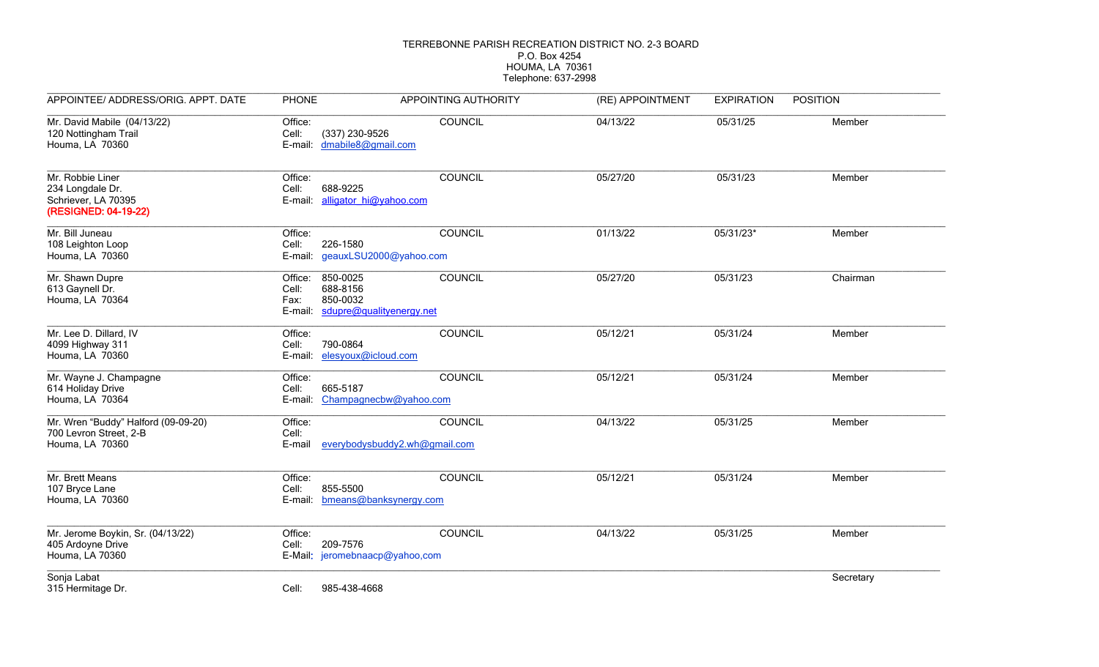## TERREBONNE PARISH RECREATION DISTRICT NO. 2-3 BOARD P.O. Box 4254 HOUMA, LA 70361 Telephone: 637-2998

| APPOINTEE/ ADDRESS/ORIG. APPT. DATE                                                 | <b>PHONE</b>                                                            | APPOINTING AUTHORITY                                   | (RE) APPOINTMENT | <b>EXPIRATION</b> | <b>POSITION</b> |
|-------------------------------------------------------------------------------------|-------------------------------------------------------------------------|--------------------------------------------------------|------------------|-------------------|-----------------|
| Mr. David Mabile (04/13/22)<br>120 Nottingham Trail<br>Houma, LA 70360              | Office:<br>Cell:<br>E-mail:                                             | <b>COUNCIL</b><br>(337) 230-9526<br>dmabile8@gmail.com | 04/13/22         | 05/31/25          | Member          |
| Mr. Robbie Liner<br>234 Longdale Dr.<br>Schriever, LA 70395<br>(RESIGNED: 04-19-22) | Office:<br>688-9225<br>Cell:<br>E-mail:                                 | COUNCIL<br>alligator hi@yahoo.com                      | 05/27/20         | 05/31/23          | Member          |
| Mr. Bill Juneau<br>108 Leighton Loop<br>Houma, LA 70360                             | Office:<br>Cell:<br>226-1580                                            | COUNCIL<br>E-mail: geauxLSU2000@yahoo.com              | 01/13/22         | 05/31/23*         | Member          |
| Mr. Shawn Dupre<br>613 Gaynell Dr.<br>Houma, LA 70364                               | 850-0025<br>Office:<br>688-8156<br>Cell:<br>850-0032<br>Fax:<br>E-mail: | COUNCIL<br>sdupre@qualityenergy.net                    | 05/27/20         | 05/31/23          | Chairman        |
| Mr. Lee D. Dillard, IV<br>4099 Highway 311<br>Houma, LA 70360                       | Office:<br>790-0864<br>Cell:<br>E-mail:                                 | COUNCIL<br>elesyoux@icloud.com                         | 05/12/21         | 05/31/24          | Member          |
| Mr. Wayne J. Champagne<br>614 Holiday Drive<br>Houma, LA 70364                      | Office:<br>665-5187<br>Cell:<br>E-mail:                                 | COUNCIL<br>Champagnecbw@yahoo.com                      | 05/12/21         | 05/31/24          | Member          |
| Mr. Wren "Buddy" Halford (09-09-20)<br>700 Levron Street, 2-B<br>Houma, LA 70360    | Office:<br>Cell:<br>E-mail                                              | <b>COUNCIL</b><br>everybodysbuddy2.wh@gmail.com        | 04/13/22         | 05/31/25          | Member          |
| Mr. Brett Means<br>107 Bryce Lane<br>Houma, LA 70360                                | Office:<br>855-5500<br>Cell:<br>E-mail:                                 | COUNCIL<br>bmeans@banksynergy.com                      | 05/12/21         | 05/31/24          | Member          |
| Mr. Jerome Boykin, Sr. (04/13/22)<br>405 Ardoyne Drive<br>Houma, LA 70360           | Office:<br>209-7576<br>Cell:                                            | COUNCIL<br>E-Mail: jeromebnaacp@yahoo,com              | 04/13/22         | 05/31/25          | Member          |
| Sonja Labat<br>315 Hermitage Dr.                                                    | Cell:<br>985-438-4668                                                   |                                                        |                  |                   | Secretary       |